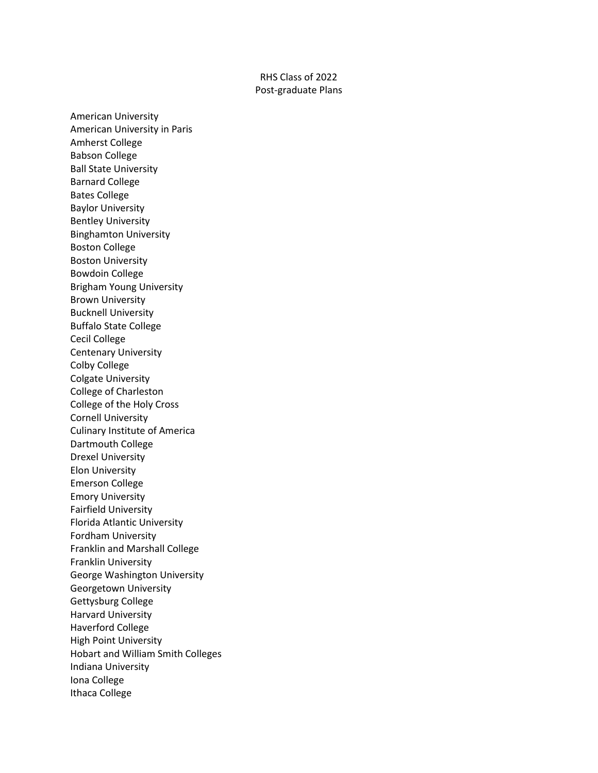## RHS Class of 2022 Post-graduate Plans

American University American University in Paris Amherst College Babson College Ball State University Barnard College Bates College Baylor University Bentley University Binghamton University Boston College Boston University Bowdoin College Brigham Young University Brown University Bucknell University Buffalo State College Cecil College Centenary University Colby College Colgate University College of Charleston College of the Holy Cross Cornell University Culinary Institute of America Dartmouth College Drexel University Elon University Emerson College Emory University Fairfield University Florida Atlantic University Fordham University Franklin and Marshall College Franklin University George Washington University Georgetown University Gettysburg College Harvard University Haverford College High Point University Hobart and William Smith Colleges Indiana University Iona College Ithaca College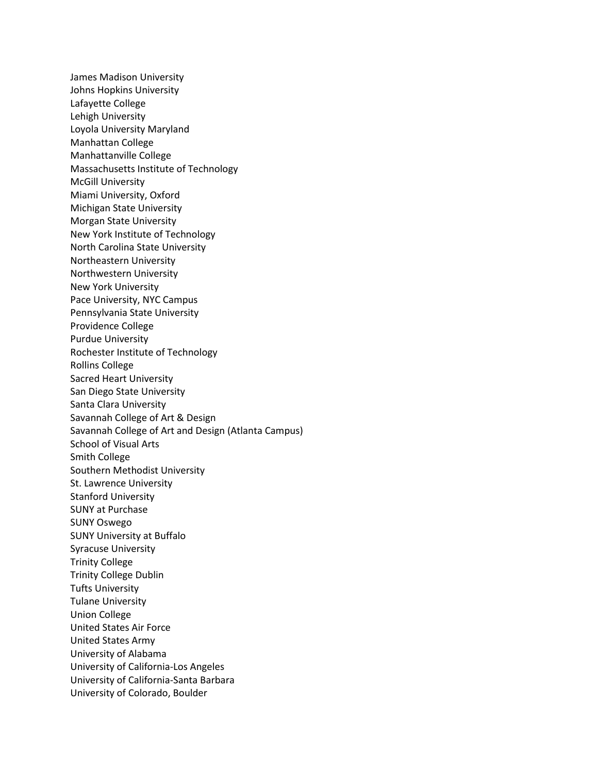James Madison University Johns Hopkins University Lafayette College Lehigh University Loyola University Maryland Manhattan College Manhattanville College Massachusetts Institute of Technology McGill University Miami University, Oxford Michigan State University Morgan State University New York Institute of Technology North Carolina State University Northeastern University Northwestern University New York University Pace University, NYC Campus Pennsylvania State University Providence College Purdue University Rochester Institute of Technology Rollins College Sacred Heart University San Diego State University Santa Clara University Savannah College of Art & Design Savannah College of Art and Design (Atlanta Campus) School of Visual Arts Smith College Southern Methodist University St. Lawrence University Stanford University SUNY at Purchase SUNY Oswego SUNY University at Buffalo Syracuse University Trinity College Trinity College Dublin Tufts University Tulane University Union College United States Air Force United States Army University of Alabama University of California-Los Angeles University of California-Santa Barbara University of Colorado, Boulder